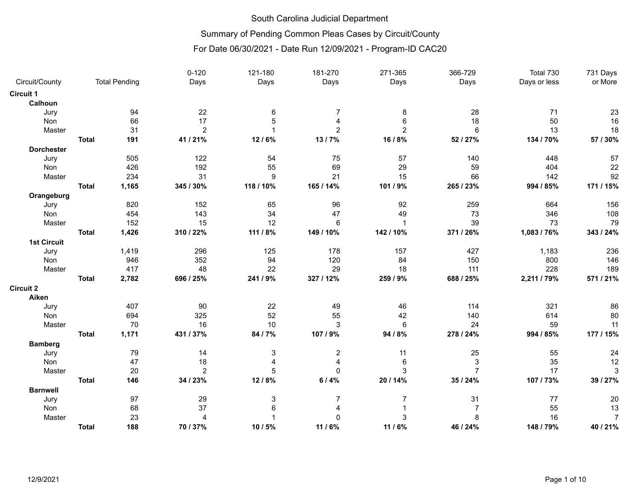# Summary of Pending Common Pleas Cases by Circuit/County

|                    |              |                      | $0 - 120$      | 121-180          | 181-270        | 271-365        | 366-729        | Total 730    | 731 Days       |
|--------------------|--------------|----------------------|----------------|------------------|----------------|----------------|----------------|--------------|----------------|
| Circuit/County     |              | <b>Total Pending</b> | Days           | Days             | Days           | Days           | Days           | Days or less | or More        |
| Circuit 1          |              |                      |                |                  |                |                |                |              |                |
| Calhoun            |              |                      |                |                  |                |                |                |              |                |
| Jury               |              | 94                   | 22             | $\,6\,$          | $\overline{7}$ | 8              | 28             | 71           | 23             |
| Non                |              | 66                   | 17             | 5                | $\overline{4}$ | 6              | 18             | 50           | 16             |
| Master             |              | 31                   | $\overline{c}$ |                  | $\overline{2}$ | $\overline{2}$ | $6\phantom{1}$ | 13           | 18             |
|                    | <b>Total</b> | 191                  | 41 / 21%       | 12/6%            | 13/7%          | 16 / 8%        | 52 / 27%       | 134 / 70%    | 57 / 30%       |
| <b>Dorchester</b>  |              |                      |                |                  |                |                |                |              |                |
| Jury               |              | 505                  | 122            | 54               | 75             | 57             | 140            | 448          | 57             |
| Non                |              | 426                  | 192            | 55               | 69             | 29             | 59             | 404          | 22             |
| Master             |              | 234                  | 31             | $\boldsymbol{9}$ | 21             | 15             | 66             | 142          | 92             |
|                    | <b>Total</b> | 1,165                | 345 / 30%      | 118 / 10%        | 165 / 14%      | 101 / 9%       | 265 / 23%      | 994 / 85%    | 171 / 15%      |
| Orangeburg         |              |                      |                |                  |                |                |                |              |                |
| Jury               |              | 820                  | 152            | 65               | 96             | 92             | 259            | 664          | 156            |
| Non                |              | 454                  | 143            | 34               | 47             | 49             | 73             | 346          | 108            |
| Master             |              | 152                  | 15             | 12               | 6              | $\mathbf{1}$   | 39             | 73           | 79             |
|                    | <b>Total</b> | 1,426                | 310 / 22%      | 111 / 8%         | 149 / 10%      | 142 / 10%      | 371 / 26%      | 1,083 / 76%  | 343 / 24%      |
| <b>1st Circuit</b> |              |                      |                |                  |                |                |                |              |                |
| Jury               |              | 1,419                | 296            | 125              | 178            | 157            | 427            | 1,183        | 236            |
| Non                |              | 946                  | 352            | 94               | 120            | 84             | 150            | 800          | 146            |
| Master             |              | 417                  | 48             | 22               | 29             | 18             | 111            | 228          | 189            |
|                    | <b>Total</b> | 2,782                | 696 / 25%      | 241 / 9%         | 327 / 12%      | 259 / 9%       | 688 / 25%      | 2,211 / 79%  | 571 / 21%      |
| Circuit 2          |              |                      |                |                  |                |                |                |              |                |
| Aiken              |              |                      |                |                  |                |                |                |              |                |
| Jury               |              | 407                  | 90             | 22               | 49             | 46             | 114            | 321          | 86             |
| Non                |              | 694                  | 325            | 52               | 55             | 42             | 140            | 614          | 80             |
| Master             |              | 70                   | 16             | 10               | 3              | 6              | 24             | 59           | 11             |
|                    | <b>Total</b> | 1,171                | 431 / 37%      | 84 / 7%          | 107 / 9%       | 94 / 8%        | 278 / 24%      | 994 / 85%    | 177 / 15%      |
| <b>Bamberg</b>     |              |                      |                |                  |                |                |                |              |                |
| Jury               |              | 79                   | 14             | 3                | $\overline{c}$ | 11             | 25             | 55           | 24             |
| Non                |              | 47                   | 18             | $\overline{4}$   | $\overline{4}$ | $\,6$          | $\mathbf{3}$   | 35           | 12             |
| Master             |              | 20                   | $\overline{2}$ | 5                | $\mathbf{0}$   | 3              | $\overline{7}$ | 17           | 3              |
|                    | <b>Total</b> | 146                  | 34 / 23%       | 12/8%            | 6/4%           | 20 / 14%       | 35 / 24%       | 107 / 73%    | 39 / 27%       |
| <b>Barnwell</b>    |              |                      |                |                  |                |                |                |              |                |
| Jury               |              | 97                   | 29             | 3                | $\overline{7}$ | $\overline{7}$ | 31             | $77 \,$      | 20             |
| Non                |              | 68                   | 37             | 6                |                |                | $\overline{7}$ | 55           | 13             |
| Master             |              | 23                   | $\overline{A}$ |                  | $\Omega$       | 3              | 8              | 16           | $\overline{7}$ |
|                    | <b>Total</b> | 188                  | 70 / 37%       | 10 / 5%          | 11 / 6%        | 11 / 6%        | 46 / 24%       | 148 / 79%    | 40 / 21%       |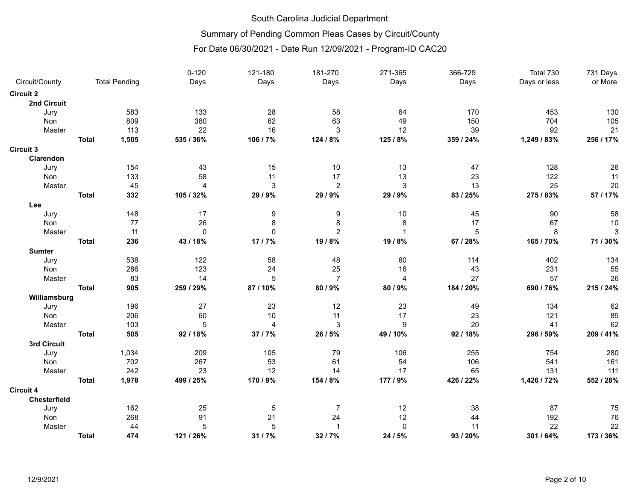### Summary of Pending Common Pleas Cases by Circuit/County

|                  |              |                      | $0 - 120$ | 121-180                 | 181-270          | 271-365          | 366-729   | Total 730    | 731 Days   |
|------------------|--------------|----------------------|-----------|-------------------------|------------------|------------------|-----------|--------------|------------|
| Circuit/County   |              | <b>Total Pending</b> | Days      | Days                    | Days             | Days             | Days      | Days or less | or More    |
| <b>Circuit 2</b> |              |                      |           |                         |                  |                  |           |              |            |
| 2nd Circuit      |              |                      |           |                         |                  |                  |           |              |            |
| Jury             |              | 583                  | 133       | 28                      | 58               | 64               | 170       | 453          | 130        |
| Non              |              | 809                  | 380       | 62                      | 63               | 49               | 150       | 704          | 105        |
| Master           |              | 113                  | 22        | 16                      | 3                | 12               | 39        | 92           | 21         |
|                  | <b>Total</b> | 1,505                | 535 / 36% | 106 / 7%                | 124 / 8%         | 125 / 8%         | 359 / 24% | 1,249 / 83%  | 256 / 17%  |
| <b>Circuit 3</b> |              |                      |           |                         |                  |                  |           |              |            |
| Clarendon        |              |                      |           |                         |                  |                  |           |              |            |
| Jury             |              | 154                  | 43        | 15                      | $10$             | 13               | 47        | 128          | 26         |
| Non              |              | 133                  | 58        | 11                      | 17               | 13               | 23        | 122          | 11         |
| Master           |              | 45                   | 4         | $\mathsf 3$             | $\overline{2}$   | $\mathbf{3}$     | 13        | 25           | 20         |
|                  | <b>Total</b> | 332                  | 105 / 32% | 29 / 9%                 | 29 / 9%          | 29 / 9%          | 83 / 25%  | 275 / 83%    | 57 / 17%   |
| Lee              |              |                      |           |                         |                  |                  |           |              |            |
| Jury             |              | 148                  | 17        | $\boldsymbol{9}$        | $\boldsymbol{9}$ | 10               | 45        | 90           | 58         |
| Non              |              | 77                   | 26        | 8                       | 8                | 8                | 17        | 67           | $10$       |
| Master           |              | 11                   | $\Omega$  | $\mathbf 0$             | $\overline{c}$   | 1                | 5         | 8            | $\sqrt{3}$ |
|                  | <b>Total</b> | 236                  | 43 / 18%  | 17/7%                   | 19 / 8%          | 19 / 8%          | 67 / 28%  | 165 / 70%    | 71 / 30%   |
| <b>Sumter</b>    |              |                      |           |                         |                  |                  |           |              |            |
| Jury             |              | 536                  | 122       | 58                      | 48               | 60               | 114       | 402          | 134        |
| Non              |              | 286                  | 123       | 24                      | 25               | 16               | 43        | 231          | 55         |
| Master           |              | 83                   | 14        | 5                       | $\overline{7}$   | 4                | 27        | 57           | 26         |
|                  | <b>Total</b> | 905                  | 259 / 29% | 87 / 10%                | 80 / 9%          | 80 / 9%          | 184 / 20% | 690 / 76%    | 215 / 24%  |
| Williamsburg     |              |                      |           |                         |                  |                  |           |              |            |
| Jury             |              | 196                  | 27        | 23                      | 12               | 23               | 49        | 134          | 62         |
| Non              |              | 206                  | 60        | 10                      | 11               | 17               | 23        | 121          | 85         |
| Master           |              | 103                  | 5         | $\overline{\mathbf{4}}$ | 3                | $\boldsymbol{9}$ | 20        | 41           | 62         |
|                  | <b>Total</b> | 505                  | 92 / 18%  | 37/7%                   | 26 / 5%          | 49 / 10%         | 92 / 18%  | 296 / 59%    | 209 / 41%  |
| 3rd Circuit      |              |                      |           |                         |                  |                  |           |              |            |
| Jury             |              | 1,034                | 209       | 105                     | 79               | 106              | 255       | 754          | 280        |
| <b>Non</b>       |              | 702                  | 267       | 53                      | 61               | 54               | 106       | 541          | 161        |
| Master           |              | 242                  | 23        | 12                      | 14               | 17               | 65        | 131          | 111        |
|                  | <b>Total</b> | 1,978                | 499 / 25% | 170 / 9%                | 154 / 8%         | 177 / 9%         | 426 / 22% | 1,426 / 72%  | 552 / 28%  |
| <b>Circuit 4</b> |              |                      |           |                         |                  |                  |           |              |            |
| Chesterfield     |              |                      |           |                         |                  |                  |           |              |            |
| Jury             |              | 162                  | 25        | 5                       | $\overline{7}$   | 12               | 38        | 87           | 75         |
| Non              |              | 268                  | 91        | 21                      | 24               | 12               | 44        | 192          | 76         |
| Master           |              | 44                   | 5         | $\mathbf 5$             | $\overline{1}$   | $\pmb{0}$        | 11        | 22           | 22         |
|                  | <b>Total</b> | 474                  | 121 / 26% | 31 / 7%                 | 32 / 7%          | 24 / 5%          | 93 / 20%  | 301 / 64%    | 173 / 36%  |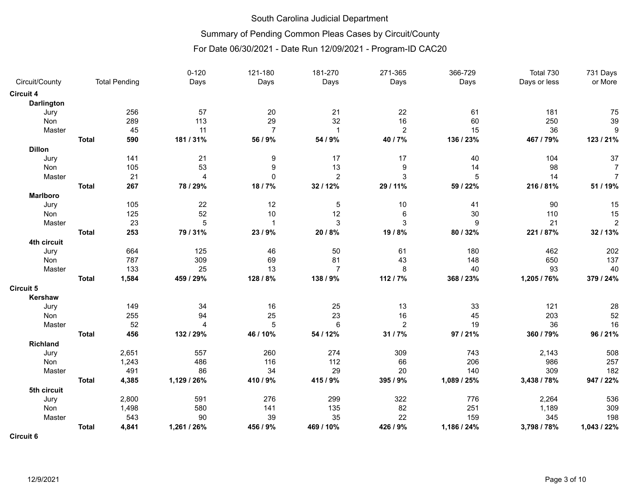# Summary of Pending Common Pleas Cases by Circuit/County

|                   |              |                      | $0 - 120$      | 121-180        | 181-270        | 271-365          | 366-729          | Total 730    | 731 Days       |
|-------------------|--------------|----------------------|----------------|----------------|----------------|------------------|------------------|--------------|----------------|
| Circuit/County    |              | <b>Total Pending</b> | Days           | Days           | Days           | Days             | Days             | Days or less | or More        |
| <b>Circuit 4</b>  |              |                      |                |                |                |                  |                  |              |                |
| <b>Darlington</b> |              |                      |                |                |                |                  |                  |              |                |
| Jury              |              | 256                  | 57             | 20             | 21             | 22               | 61               | 181          | 75             |
| Non               |              | 289                  | 113            | 29             | 32             | 16               | 60               | 250          | 39             |
| Master            |              | 45                   | 11             | $\overline{7}$ | $\mathbf{1}$   | $\overline{c}$   | 15               | 36           | 9              |
|                   | <b>Total</b> | 590                  | 181 / 31%      | 56 / 9%        | 54 / 9%        | 40 / 7%          | 136 / 23%        | 467 / 79%    | 123 / 21%      |
| <b>Dillon</b>     |              |                      |                |                |                |                  |                  |              |                |
| Jury              |              | 141                  | 21             | 9              | 17             | 17               | 40               | 104          | 37             |
| Non               |              | 105                  | 53             | 9              | 13             | 9                | 14               | 98           | $\overline{7}$ |
| Master            |              | 21                   | $\overline{4}$ | $\mathbf 0$    | $\overline{2}$ | 3                | 5                | 14           | $\overline{7}$ |
|                   | <b>Total</b> | 267                  | 78 / 29%       | 18/7%          | 32 / 12%       | 29 / 11%         | 59 / 22%         | 216 / 81%    | 51 / 19%       |
| <b>Marlboro</b>   |              |                      |                |                |                |                  |                  |              |                |
| Jury              |              | 105                  | 22             | 12             | 5              | 10               | 41               | 90           | 15             |
| <b>Non</b>        |              | 125                  | 52             | 10             | 12             | 6                | 30               | 110          | 15             |
| Master            |              | 23                   | $\overline{5}$ | $\mathbf{1}$   | 3              | 3                | $\boldsymbol{9}$ | 21           | $\overline{2}$ |
|                   | <b>Total</b> | 253                  | 79 / 31%       | 23/9%          | 20 / 8%        | 19 / 8%          | 80 / 32%         | 221 / 87%    | 32/13%         |
| 4th circuit       |              |                      |                |                |                |                  |                  |              |                |
| Jury              |              | 664                  | 125            | 46             | 50             | 61               | 180              | 462          | 202            |
| Non               |              | 787                  | 309            | 69             | 81             | 43               | 148              | 650          | 137            |
| Master            |              | 133                  | 25             | 13             | $\overline{7}$ | 8                | 40               | 93           | 40             |
|                   | <b>Total</b> | 1,584                | 459 / 29%      | 128 / 8%       | 138 / 9%       | 112 / 7%         | 368 / 23%        | 1,205 / 76%  | 379 / 24%      |
| <b>Circuit 5</b>  |              |                      |                |                |                |                  |                  |              |                |
| Kershaw           |              |                      |                |                |                |                  |                  |              |                |
| Jury              |              | 149                  | 34             | 16             | 25             | 13               | 33               | 121          | 28             |
| Non               |              | 255                  | 94             | 25             | 23             | 16               | 45               | 203          | 52             |
| Master            |              | 52                   | 4              | 5              | 6              | $\boldsymbol{2}$ | 19               | 36           | 16             |
|                   | <b>Total</b> | 456                  | 132 / 29%      | 46 / 10%       | 54 / 12%       | 31 / 7%          | 97 / 21%         | 360 / 79%    | 96 / 21%       |
| <b>Richland</b>   |              |                      |                |                |                |                  |                  |              |                |
| Jury              |              | 2,651                | 557            | 260            | 274            | 309              | 743              | 2,143        | 508            |
| Non               |              | 1,243                | 486            | 116            | 112            | 66               | 206              | 986          | 257            |
| Master            |              | 491                  | 86             | 34             | 29             | 20               | 140              | 309          | 182            |
|                   | <b>Total</b> | 4,385                | 1,129 / 26%    | 410 / 9%       | 415 / 9%       | 395 / 9%         | 1,089 / 25%      | 3,438 / 78%  | 947 / 22%      |
| 5th circuit       |              |                      |                |                |                |                  |                  |              |                |
| Jury              |              | 2,800                | 591            | 276            | 299            | 322              | 776              | 2,264        | 536            |
| Non               |              | 1,498                | 580            | 141            | 135            | 82               | 251              | 1,189        | 309            |
| Master            |              | 543                  | 90             | 39             | 35             | 22               | 159              | 345          | 198            |
|                   | <b>Total</b> | 4,841                | 1,261 / 26%    | 456 / 9%       | 469 / 10%      | 426 / 9%         | 1,186 / 24%      | 3,798 / 78%  | 1,043 / 22%    |
| <b>Circuit 6</b>  |              |                      |                |                |                |                  |                  |              |                |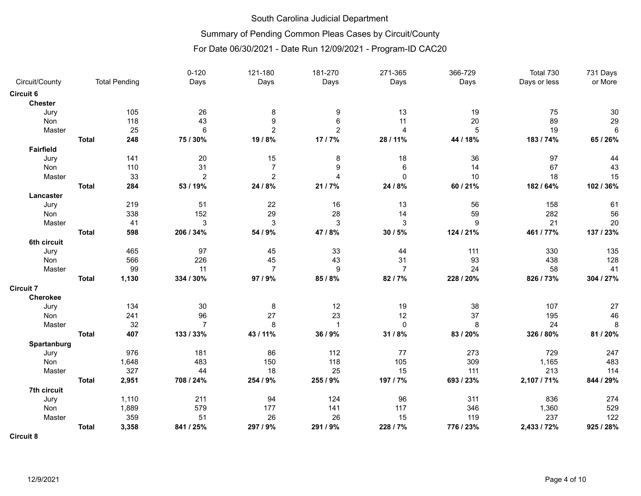# Summary of Pending Common Pleas Cases by Circuit/County

|                  |              |                      | $0 - 120$      | 121-180        | 181-270        | 271-365        | 366-729   | Total 730    | 731 Days  |
|------------------|--------------|----------------------|----------------|----------------|----------------|----------------|-----------|--------------|-----------|
| Circuit/County   |              | <b>Total Pending</b> | Days           | Days           | Days           | Days           | Days      | Days or less | or More   |
| <b>Circuit 6</b> |              |                      |                |                |                |                |           |              |           |
| <b>Chester</b>   |              |                      |                |                |                |                |           |              |           |
| Jury             |              | 105                  | 26             | 8              | 9              | 13             | 19        | 75           | 30        |
| Non              |              | 118                  | 43             | 9              | 6              | 11             | 20        | 89           | 29        |
| Master           |              | 25                   | 6              | $\overline{2}$ | $\overline{c}$ | 4              | 5         | 19           | $\,6\,$   |
|                  | <b>Total</b> | 248                  | 75 / 30%       | 19/8%          | 17/7%          | 28 / 11%       | 44 / 18%  | 183 / 74%    | 65 / 26%  |
| <b>Fairfield</b> |              |                      |                |                |                |                |           |              |           |
| Jury             |              | 141                  | 20             | 15             | 8              | 18             | 36        | 97           | 44        |
| <b>Non</b>       |              | 110                  | 31             | $\overline{7}$ | 9              | 6              | 14        | 67           | 43        |
| Master           |              | 33                   | $\overline{2}$ | $\overline{2}$ | $\overline{A}$ | $\mathbf{0}$   | 10        | 18           | 15        |
|                  | <b>Total</b> | 284                  | 53 / 19%       | 24 / 8%        | 21/7%          | 24 / 8%        | 60 / 21%  | 182 / 64%    | 102 / 36% |
| Lancaster        |              |                      |                |                |                |                |           |              |           |
| Jury             |              | 219                  | 51             | 22             | 16             | 13             | 56        | 158          | 61        |
| <b>Non</b>       |              | 338                  | 152            | 29             | 28             | 14             | 59        | 282          | 56        |
| Master           |              | 41                   | 3              | $\sqrt{3}$     | 3              | 3              | 9         | 21           | 20        |
|                  | <b>Total</b> | 598                  | 206 / 34%      | 54 / 9%        | 47 / 8%        | 30 / 5%        | 124 / 21% | 461 / 77%    | 137 / 23% |
| 6th circuit      |              |                      |                |                |                |                |           |              |           |
| Jury             |              | 465                  | 97             | 45             | 33             | 44             | 111       | 330          | 135       |
| Non              |              | 566                  | 226            | 45             | 43             | 31             | 93        | 438          | 128       |
| Master           |              | 99                   | 11             | $\overline{7}$ | 9              | $\overline{7}$ | 24        | 58           | 41        |
|                  | <b>Total</b> | 1,130                | 334 / 30%      | 97 / 9%        | 85 / 8%        | 82 / 7%        | 228 / 20% | 826 / 73%    | 304 / 27% |
| <b>Circuit 7</b> |              |                      |                |                |                |                |           |              |           |
| Cherokee         |              |                      |                |                |                |                |           |              |           |
| Jury             |              | 134                  | 30             | 8              | 12             | 19             | 38        | 107          | 27        |
| Non              |              | 241                  | 96             | 27             | 23             | 12             | 37        | 195          | 46        |
| Master           |              | 32                   | $\overline{7}$ | 8              | $\mathbf{1}$   | $\mathbf 0$    | 8         | 24           | $\,8\,$   |
|                  | <b>Total</b> | 407                  | 133 / 33%      | 43 / 11%       | 36 / 9%        | 31 / 8%        | 83 / 20%  | 326 / 80%    | 81 / 20%  |
| Spartanburg      |              |                      |                |                |                |                |           |              |           |
| Jury             |              | 976                  | 181            | 86             | 112            | 77             | 273       | 729          | 247       |
| Non              |              | 1,648                | 483            | 150            | 118            | 105            | 309       | 1,165        | 483       |
| Master           |              | 327                  | 44             | 18             | 25             | 15             | 111       | 213          | 114       |
|                  | <b>Total</b> | 2,951                | 708 / 24%      | 254 / 9%       | 255 / 9%       | 197 / 7%       | 693 / 23% | 2,107 / 71%  | 844 / 29% |
| 7th circuit      |              |                      |                |                |                |                |           |              |           |
| Jury             |              | 1,110                | 211            | 94             | 124            | 96             | 311       | 836          | 274       |
| Non              |              | 1,889                | 579            | 177            | 141            | 117            | 346       | 1,360        | 529       |
| Master           |              | 359                  | 51             | 26             | 26             | 15             | 119       | 237          | 122       |
|                  | <b>Total</b> | 3,358                | 841 / 25%      | 297 / 9%       | 291 / 9%       | 228 / 7%       | 776 / 23% | 2,433 / 72%  | 925 / 28% |
| <b>Circuit 8</b> |              |                      |                |                |                |                |           |              |           |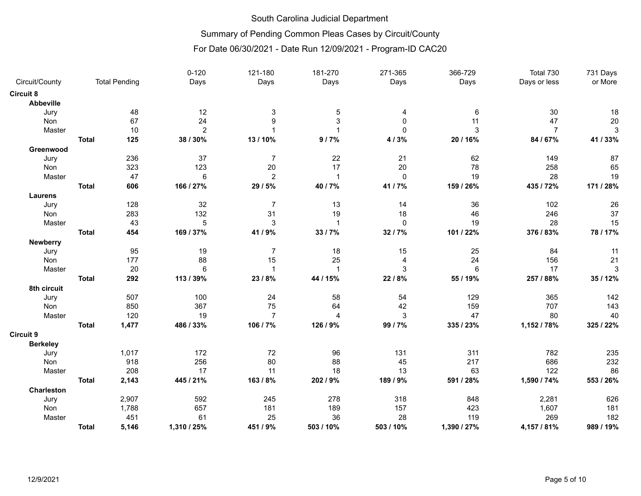## Summary of Pending Common Pleas Cases by Circuit/County

|                   |              |                      | $0 - 120$      | 121-180        | 181-270        | 271-365        | 366-729         | Total 730      | 731 Days     |
|-------------------|--------------|----------------------|----------------|----------------|----------------|----------------|-----------------|----------------|--------------|
| Circuit/County    |              | <b>Total Pending</b> | Days           | Days           | Days           | Days           | Days            | Days or less   | or More      |
| Circuit 8         |              |                      |                |                |                |                |                 |                |              |
| Abbeville         |              |                      |                |                |                |                |                 |                |              |
| Jury              |              | 48                   | 12             | 3              | 5              | 4              | 6               | 30             | 18           |
| Non               |              | 67                   | 24             | 9              | 3              | $\Omega$       | 11              | 47             | 20           |
| Master            |              | 10                   | $\overline{2}$ |                | $\mathbf{1}$   | $\mathbf{0}$   | 3               | $\overline{7}$ | $\mathbf{3}$ |
|                   | <b>Total</b> | 125                  | 38 / 30%       | 13/10%         | 9/7%           | 4/3%           | 20 / 16%        | 84 / 67%       | 41 / 33%     |
| Greenwood         |              |                      |                |                |                |                |                 |                |              |
| Jury              |              | 236                  | 37             | 7              | 22             | 21             | 62              | 149            | 87           |
| Non               |              | 323                  | 123            | 20             | 17             | $20\,$         | 78              | 258            | 65           |
| Master            |              | 47                   | 6              | $\overline{2}$ | $\mathbf{1}$   | $\mathbf 0$    | 19              | 28             | 19           |
|                   | <b>Total</b> | 606                  | 166 / 27%      | 29 / 5%        | 40 / 7%        | 41 / 7%        | 159 / 26%       | 435 / 72%      | 171 / 28%    |
| <b>Laurens</b>    |              |                      |                |                |                |                |                 |                |              |
| Jury              |              | 128                  | 32             | $\overline{7}$ | 13             | 14             | 36              | 102            | 26           |
| <b>Non</b>        |              | 283                  | 132            | 31             | 19             | 18             | 46              | 246            | 37           |
| Master            |              | 43                   | 5              | 3              | $\mathbf{1}$   | $\mathbf{0}$   | 19              | 28             | 15           |
|                   | <b>Total</b> | 454                  | 169 / 37%      | 41 / 9%        | 33 / 7%        | 32 / 7%        | 101 / 22%       | 376 / 83%      | 78 / 17%     |
| Newberry          |              |                      |                |                |                |                |                 |                |              |
| Jury              |              | 95                   | 19             | 7              | 18             | 15             | 25              | 84             | 11           |
| Non               |              | 177                  | 88             | 15             | 25             | $\overline{4}$ | 24              | 156            | 21           |
| Master            |              | 20                   | 6              | $\mathbf{1}$   | $\mathbf{1}$   | 3              | $6\phantom{1}6$ | 17             | 3            |
|                   | <b>Total</b> | 292                  | 113 / 39%      | 23/8%          | 44 / 15%       | 22 / 8%        | 55 / 19%        | 257 / 88%      | 35 / 12%     |
| 8th circuit       |              |                      |                |                |                |                |                 |                |              |
| Jury              |              | 507                  | 100            | 24             | 58             | 54             | 129             | 365            | 142          |
| Non               |              | 850                  | 367            | 75             | 64             | 42             | 159             | 707            | 143          |
| Master            |              | 120                  | 19             | $\overline{7}$ | $\overline{4}$ | $\mathbf{3}$   | 47              | 80             | 40           |
|                   | <b>Total</b> | 1,477                | 486 / 33%      | 106 / 7%       | 126 / 9%       | 99 / 7%        | 335 / 23%       | 1,152 / 78%    | 325 / 22%    |
| Circuit 9         |              |                      |                |                |                |                |                 |                |              |
| <b>Berkeley</b>   |              |                      |                |                |                |                |                 |                |              |
| Jury              |              | 1,017                | 172            | 72             | 96             | 131            | 311             | 782            | 235          |
| Non               |              | 918                  | 256            | 80             | 88             | 45             | 217             | 686            | 232          |
| Master            |              | 208                  | 17             | 11             | 18             | 13             | 63              | 122            | 86           |
|                   | <b>Total</b> | 2,143                | 445 / 21%      | 163 / 8%       | 202 / 9%       | 189 / 9%       | 591 / 28%       | 1,590 / 74%    | 553 / 26%    |
| <b>Charleston</b> |              |                      |                |                |                |                |                 |                |              |
| Jury              |              | 2,907                | 592            | 245            | 278            | 318            | 848             | 2,281          | 626          |
| Non               |              | 1,788                | 657            | 181            | 189            | 157            | 423             | 1,607          | 181          |
| Master            |              | 451                  | 61             | 25             | 36             | 28             | 119             | 269            | 182          |
|                   | <b>Total</b> | 5,146                | 1,310 / 25%    | 451 / 9%       | 503 / 10%      | 503 / 10%      | 1,390 / 27%     | 4,157 / 81%    | 989 / 19%    |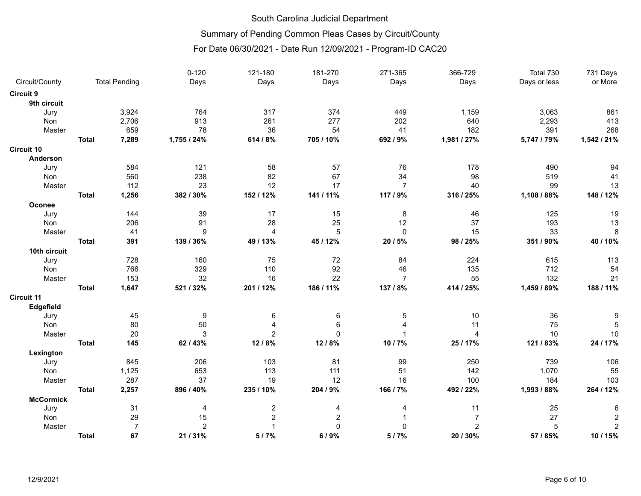# Summary of Pending Common Pleas Cases by Circuit/County

|                   |              |                      | $0 - 120$      | 121-180                 | 181-270        | 271-365        | 366-729        | Total 730    | 731 Days       |
|-------------------|--------------|----------------------|----------------|-------------------------|----------------|----------------|----------------|--------------|----------------|
| Circuit/County    |              | <b>Total Pending</b> | Days           | Days                    | Days           | Days           | Days           | Days or less | or More        |
| <b>Circuit 9</b>  |              |                      |                |                         |                |                |                |              |                |
| 9th circuit       |              |                      |                |                         |                |                |                |              |                |
| Jury              |              | 3,924                | 764            | 317                     | 374            | 449            | 1,159          | 3,063        | 861            |
| Non               |              | 2,706                | 913            | 261                     | 277            | 202            | 640            | 2,293        | 413            |
| Master            |              | 659                  | 78             | 36                      | 54             | 41             | 182            | 391          | 268            |
|                   | <b>Total</b> | 7,289                | 1,755 / 24%    | 614 / 8%                | 705 / 10%      | 692 / 9%       | 1,981 / 27%    | 5,747 / 79%  | 1,542 / 21%    |
| <b>Circuit 10</b> |              |                      |                |                         |                |                |                |              |                |
| Anderson          |              |                      |                |                         |                |                |                |              |                |
| Jury              |              | 584                  | 121            | 58                      | 57             | 76             | 178            | 490          | 94             |
| Non               |              | 560                  | 238            | 82                      | 67             | 34             | 98             | 519          | 41             |
| Master            |              | 112                  | 23             | 12                      | 17             | $\overline{7}$ | 40             | 99           | 13             |
|                   | <b>Total</b> | 1,256                | 382 / 30%      | 152 / 12%               | 141 / 11%      | 117 / 9%       | 316 / 25%      | 1,108 / 88%  | 148 / 12%      |
| Oconee            |              |                      |                |                         |                |                |                |              |                |
| Jury              |              | 144                  | 39             | 17                      | 15             | 8              | 46             | 125          | 19             |
| Non               |              | 206                  | 91             | 28                      | 25             | 12             | 37             | 193          | 13             |
| Master            |              | 41                   | 9              | 4                       | 5              | $\mathbf 0$    | 15             | 33           | 8              |
|                   | <b>Total</b> | 391                  | 139 / 36%      | 49 / 13%                | 45 / 12%       | 20 / 5%        | 98 / 25%       | 351 / 90%    | 40 / 10%       |
| 10th circuit      |              |                      |                |                         |                |                |                |              |                |
| Jury              |              | 728                  | 160            | 75                      | 72             | 84             | 224            | 615          | 113            |
| Non               |              | 766                  | 329            | 110                     | 92             | 46             | 135            | 712          | 54             |
| Master            |              | 153                  | 32             | 16                      | 22             | $\overline{7}$ | 55             | 132          | 21             |
|                   | <b>Total</b> | 1,647                | 521 / 32%      | 201 / 12%               | 186 / 11%      | 137 / 8%       | 414 / 25%      | 1,459 / 89%  | 188 / 11%      |
| <b>Circuit 11</b> |              |                      |                |                         |                |                |                |              |                |
| Edgefield         |              |                      |                |                         |                |                |                |              |                |
| Jury              |              | 45                   | 9              | 6                       | 6              | 5              | 10             | 36           |                |
| Non               |              | 80                   | 50             | 4                       | 6              | 4              | 11             | 75           |                |
| Master            |              | 20                   | 3              | $\overline{c}$          | $\mathbf 0$    |                | $\overline{4}$ | 10           | 10             |
|                   | <b>Total</b> | 145                  | 62 / 43%       | 12/8%                   | 12/8%          | 10 / 7%        | 25 / 17%       | 121 / 83%    | 24 / 17%       |
| Lexington         |              |                      |                |                         |                |                |                |              |                |
| Jury              |              | 845                  | 206            | 103                     | 81             | 99             | 250            | 739          | 106            |
| Non               |              | 1,125                | 653            | 113                     | 111            | 51             | 142            | 1,070        | 55             |
| Master            |              | 287                  | 37             | 19                      | 12             | 16             | 100            | 184          | 103            |
|                   | <b>Total</b> | 2,257                | 896 / 40%      | 235 / 10%               | 204 / 9%       | 166 / 7%       | 492 / 22%      | 1,993 / 88%  | 264 / 12%      |
| <b>McCormick</b>  |              |                      |                |                         |                |                |                |              |                |
| Jury              |              | 31                   | 4              | $\overline{\mathbf{c}}$ | 4              | 4              | 11             | 25           | 6              |
| Non               |              | 29                   | 15             | $\overline{\mathbf{c}}$ | $\overline{c}$ |                | $\overline{7}$ | 27           |                |
| Master            |              | $\overline{7}$       | $\overline{c}$ |                         | $\mathbf 0$    | $\Omega$       | $\overline{c}$ | 5            | $\overline{2}$ |
|                   | <b>Total</b> | 67                   | 21 / 31%       | 5/7%                    | 6/9%           | 5/7%           | 20 / 30%       | 57 / 85%     | 10 / 15%       |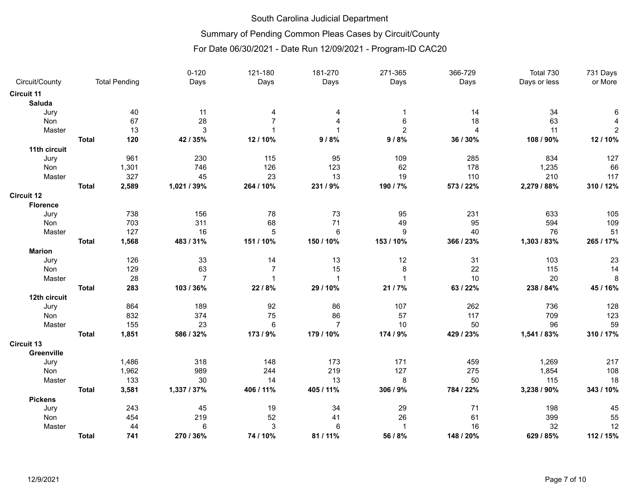# Summary of Pending Common Pleas Cases by Circuit/County

|                   |              |                      | $0 - 120$      | 121-180                   | 181-270                 | 271-365        | 366-729        | Total 730    | 731 Days       |
|-------------------|--------------|----------------------|----------------|---------------------------|-------------------------|----------------|----------------|--------------|----------------|
| Circuit/County    |              | <b>Total Pending</b> | Days           | Days                      | Days                    | Days           | Days           | Days or less | or More        |
| <b>Circuit 11</b> |              |                      |                |                           |                         |                |                |              |                |
| Saluda            |              |                      |                |                           |                         |                |                |              |                |
| Jury              |              | 40                   | 11             | 4                         | 4                       | -1             | 14             | 34           |                |
| Non               |              | 67                   | 28             | $\overline{7}$            | $\overline{A}$          | 6              | 18             | 63           |                |
| Master            |              | 13                   | 3              | 1                         | $\overline{\mathbf{1}}$ | $\overline{c}$ | $\overline{4}$ | 11           | $\overline{c}$ |
|                   | <b>Total</b> | 120                  | 42 / 35%       | 12 / 10%                  | 9/8%                    | 9/8%           | 36 / 30%       | 108 / 90%    | 12 / 10%       |
| 11th circuit      |              |                      |                |                           |                         |                |                |              |                |
| Jury              |              | 961                  | 230            | 115                       | 95                      | 109            | 285            | 834          | 127            |
| Non               |              | 1,301                | 746            | 126                       | 123                     | 62             | 178            | 1,235        | 66             |
| Master            |              | 327                  | 45             | 23                        | 13                      | 19             | 110            | 210          | 117            |
|                   | <b>Total</b> | 2,589                | 1,021 / 39%    | 264 / 10%                 | 231 / 9%                | 190 / 7%       | 573 / 22%      | 2,279 / 88%  | 310 / 12%      |
| <b>Circuit 12</b> |              |                      |                |                           |                         |                |                |              |                |
| <b>Florence</b>   |              |                      |                |                           |                         |                |                |              |                |
| Jury              |              | 738                  | 156            | 78                        | 73                      | 95             | 231            | 633          | 105            |
| Non               |              | 703                  | 311            | 68                        | 71                      | 49             | 95             | 594          | 109            |
| Master            |              | 127                  | 16             | 5                         | 6                       | 9              | 40             | 76           | 51             |
|                   | <b>Total</b> | 1,568                | 483 / 31%      | 151 / 10%                 | 150 / 10%               | 153 / 10%      | 366 / 23%      | 1,303 / 83%  | 265 / 17%      |
| <b>Marion</b>     |              |                      |                |                           |                         |                |                |              |                |
| Jury              |              | 126                  | 33             | 14                        | 13                      | 12             | 31             | 103          | 23             |
| Non               |              | 129                  | 63             | $\overline{7}$            | 15                      | 8              | 22             | 115          | 14             |
| Master            |              | 28                   | $\overline{7}$ | $\mathbf 1$               | $\overline{1}$          | $\mathbf{1}$   | 10             | 20           | 8              |
|                   | <b>Total</b> | 283                  | 103 / 36%      | 22/8%                     | 29 / 10%                | 21 / 7%        | 63 / 22%       | 238 / 84%    | 45 / 16%       |
| 12th circuit      |              |                      |                |                           |                         |                |                |              |                |
| Jury              |              | 864                  | 189            | 92                        | 86                      | 107            | 262            | 736          | 128            |
| Non               |              | 832                  | 374            | 75                        | 86                      | 57             | 117            | 709          | 123            |
| Master            |              | 155                  | 23             | $\,6$                     | $\overline{7}$          | 10             | 50             | 96           | 59             |
|                   | <b>Total</b> | 1,851                | 586 / 32%      | 173 / 9%                  | 179 / 10%               | 174 / 9%       | 429 / 23%      | 1,541 / 83%  | 310 / 17%      |
| <b>Circuit 13</b> |              |                      |                |                           |                         |                |                |              |                |
| Greenville        |              |                      |                |                           |                         |                |                |              |                |
| Jury              |              | 1,486                | 318            | 148                       | 173                     | 171            | 459            | 1,269        | 217            |
| Non               |              | 1,962                | 989            | 244                       | 219                     | 127            | 275            | 1,854        | 108            |
| Master            |              | 133                  | 30             | 14                        | 13                      | 8              | 50             | 115          | 18             |
|                   | <b>Total</b> | 3,581                | 1,337 / 37%    | 406 / 11%                 | 405 / 11%               | 306 / 9%       | 784 / 22%      | 3,238 / 90%  | 343 / 10%      |
| <b>Pickens</b>    |              |                      |                |                           |                         |                |                |              |                |
| Jury              |              | 243                  | 45             | 19                        | 34                      | 29             | 71             | 198          | 45             |
| Non               |              | 454                  | 219            | 52                        | 41                      | 26             | 61             | 399          | 55             |
| Master            |              | 44                   | $\,6$          | $\ensuremath{\mathsf{3}}$ | $\,6$                   | $\mathbf 1$    | 16             | 32           | 12             |
|                   | <b>Total</b> | 741                  | 270 / 36%      | 74 / 10%                  | 81 / 11%                | 56 / 8%        | 148 / 20%      | 629 / 85%    | 112 / 15%      |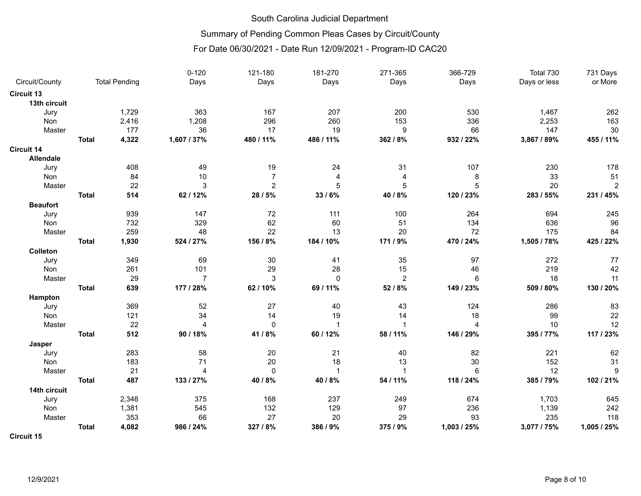# Summary of Pending Common Pleas Cases by Circuit/County

|                   |              |                      | $0 - 120$      | 121-180        | 181-270        | 271-365        | 366-729         | Total 730    | 731 Days       |
|-------------------|--------------|----------------------|----------------|----------------|----------------|----------------|-----------------|--------------|----------------|
| Circuit/County    |              | <b>Total Pending</b> | Days           | Days           | Days           | Days           | Days            | Days or less | or More        |
| <b>Circuit 13</b> |              |                      |                |                |                |                |                 |              |                |
| 13th circuit      |              |                      |                |                |                |                |                 |              |                |
| Jury              |              | 1,729                | 363            | 167            | 207            | 200            | 530             | 1,467        | 262            |
| Non               |              | 2,416                | 1,208          | 296            | 260            | 153            | 336             | 2,253        | 163            |
| Master            |              | 177                  | 36             | 17             | 19             | 9              | 66              | 147          | 30             |
|                   | <b>Total</b> | 4,322                | 1,607 / 37%    | 480 / 11%      | 486 / 11%      | 362 / 8%       | 932 / 22%       | 3,867 / 89%  | 455 / 11%      |
| Circuit 14        |              |                      |                |                |                |                |                 |              |                |
| <b>Allendale</b>  |              |                      |                |                |                |                |                 |              |                |
| Jury              |              | 408                  | 49             | 19             | 24             | 31             | 107             | 230          | 178            |
| Non               |              | 84                   | 10             | 7              | $\overline{4}$ | 4              | 8               | 33           | 51             |
| Master            |              | 22                   | 3              | $\overline{2}$ | 5              | 5              | 5               | 20           | $\overline{c}$ |
|                   | <b>Total</b> | 514                  | 62 / 12%       | 28 / 5%        | 33/6%          | 40 / 8%        | 120 / 23%       | 283 / 55%    | 231 / 45%      |
| <b>Beaufort</b>   |              |                      |                |                |                |                |                 |              |                |
| Jury              |              | 939                  | 147            | 72             | 111            | 100            | 264             | 694          | 245            |
| Non               |              | 732                  | 329            | 62             | 60             | 51             | 134             | 636          | 96             |
| Master            |              | 259                  | 48             | 22             | 13             | 20             | 72              | 175          | 84             |
|                   | <b>Total</b> | 1,930                | 524 / 27%      | 156 / 8%       | 184 / 10%      | 171 / 9%       | 470 / 24%       | 1,505 / 78%  | 425 / 22%      |
| Colleton          |              |                      |                |                |                |                |                 |              |                |
| Jury              |              | 349                  | 69             | $30\,$         | 41             | 35             | 97              | 272          | 77             |
| Non               |              | 261                  | 101            | 29             | 28             | 15             | 46              | 219          | 42             |
| Master            |              | 29                   | $\overline{7}$ | $\mathbf{3}$   | $\mathbf 0$    | $\overline{c}$ | $6\phantom{1}6$ | 18           | 11             |
|                   | <b>Total</b> | 639                  | 177 / 28%      | 62 / 10%       | 69 / 11%       | 52 / 8%        | 149 / 23%       | 509 / 80%    | 130 / 20%      |
| Hampton           |              |                      |                |                |                |                |                 |              |                |
| Jury              |              | 369                  | 52             | 27             | 40             | 43             | 124             | 286          | 83             |
| Non               |              | 121                  | 34             | 14             | 19             | 14             | 18              | 99           | 22             |
| Master            |              | 22                   | $\overline{4}$ | $\mathbf 0$    | $\overline{1}$ | $\mathbf{1}$   | $\overline{4}$  | 10           | 12             |
|                   | <b>Total</b> | 512                  | 90 / 18%       | 41 / 8%        | 60 / 12%       | 58 / 11%       | 146 / 29%       | 395 / 77%    | 117 / 23%      |
| Jasper            |              |                      |                |                |                |                |                 |              |                |
| Jury              |              | 283                  | 58             | 20             | 21             | 40             | 82              | 221          | 62             |
| Non               |              | 183                  | 71             | 20             | 18             | 13             | 30              | 152          | 31             |
| Master            |              | 21                   | $\overline{4}$ | $\pmb{0}$      | $\overline{1}$ | $\mathbf{1}$   | $6\phantom{1}6$ | 12           | 9              |
|                   | <b>Total</b> | 487                  | 133 / 27%      | 40 / 8%        | 40 / 8%        | 54 / 11%       | 118 / 24%       | 385 / 79%    | 102 / 21%      |
| 14th circuit      |              |                      |                |                |                |                |                 |              |                |
| Jury              |              | 2,348                | 375            | 168            | 237            | 249            | 674             | 1,703        | 645            |
| Non               |              | 1,381                | 545            | 132            | 129            | 97             | 236             | 1,139        | 242            |
| Master            |              | 353                  | 66             | 27             | 20             | 29             | 93              | 235          | 118            |
|                   | <b>Total</b> | 4,082                | 986 / 24%      | 327/8%         | 386 / 9%       | 375 / 9%       | 1,003 / 25%     | 3,077 / 75%  | 1,005 / 25%    |
| <b>Circuit 15</b> |              |                      |                |                |                |                |                 |              |                |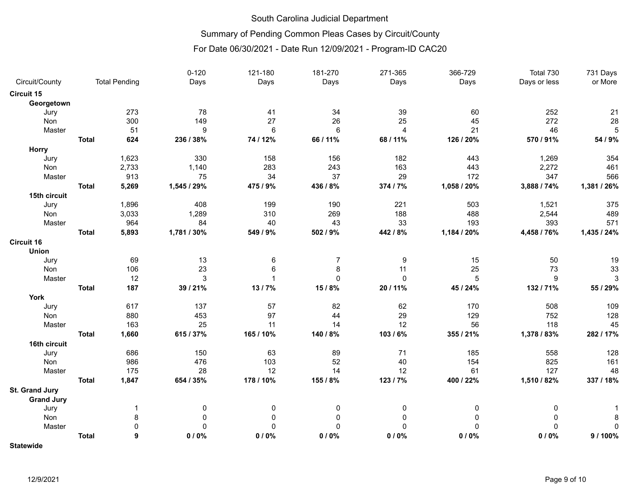# Summary of Pending Common Pleas Cases by Circuit/County

|                   |              |                      | $0 - 120$    | 121-180         | 181-270         | 271-365        | 366-729     | Total 730    | 731 Days    |
|-------------------|--------------|----------------------|--------------|-----------------|-----------------|----------------|-------------|--------------|-------------|
| Circuit/County    |              | <b>Total Pending</b> | Days         | Days            | Days            | Days           | Days        | Days or less | or More     |
| <b>Circuit 15</b> |              |                      |              |                 |                 |                |             |              |             |
| Georgetown        |              |                      |              |                 |                 |                |             |              |             |
| Jury              |              | 273                  | 78           | 41              | 34              | 39             | 60          | 252          | 21          |
| Non               |              | 300                  | 149          | 27              | 26              | 25             | 45          | 272          | 28          |
| Master            |              | 51                   | 9            | $6\phantom{1}6$ | $6\phantom{1}6$ | $\overline{4}$ | 21          | 46           | 5           |
|                   | <b>Total</b> | 624                  | 236 / 38%    | 74 / 12%        | 66 / 11%        | 68 / 11%       | 126 / 20%   | 570 / 91%    | 54 / 9%     |
| <b>Horry</b>      |              |                      |              |                 |                 |                |             |              |             |
| Jury              |              | 1,623                | 330          | 158             | 156             | 182            | 443         | 1,269        | 354         |
| Non               |              | 2,733                | 1,140        | 283             | 243             | 163            | 443         | 2,272        | 461         |
| Master            |              | 913                  | 75           | 34              | 37              | 29             | 172         | 347          | 566         |
|                   | <b>Total</b> | 5,269                | 1,545 / 29%  | 475 / 9%        | 436 / 8%        | 374 / 7%       | 1,058 / 20% | 3,888 / 74%  | 1,381 / 26% |
| 15th circuit      |              |                      |              |                 |                 |                |             |              |             |
| Jury              |              | 1,896                | 408          | 199             | 190             | 221            | 503         | 1,521        | 375         |
| Non               |              | 3,033                | 1,289        | 310             | 269             | 188            | 488         | 2,544        | 489         |
| Master            |              | 964                  | 84           | 40              | 43              | 33             | 193         | 393          | 571         |
|                   | <b>Total</b> | 5,893                | 1,781 / 30%  | 549 / 9%        | 502 / 9%        | 442 / 8%       | 1,184 / 20% | 4,458 / 76%  | 1,435 / 24% |
| <b>Circuit 16</b> |              |                      |              |                 |                 |                |             |              |             |
| <b>Union</b>      |              |                      |              |                 |                 |                |             |              |             |
| Jury              |              | 69                   | 13           | 6               | $\overline{7}$  | 9              | 15          | 50           | 19          |
| Non               |              | 106                  | 23           | $\,6$           | 8               | 11             | 25          | 73           | 33          |
| Master            |              | 12                   | $\mathbf{3}$ | $\mathbf{1}$    | 0               | $\mathbf 0$    | $\sqrt{5}$  | 9            | $\sqrt{3}$  |
|                   | <b>Total</b> | 187                  | 39 / 21%     | 13/7%           | 15/8%           | 20 / 11%       | 45 / 24%    | 132 / 71%    | 55 / 29%    |
| York              |              |                      |              |                 |                 |                |             |              |             |
| Jury              |              | 617                  | 137          | 57              | 82              | 62             | 170         | 508          | 109         |
| Non               |              | 880                  | 453          | 97              | 44              | 29             | 129         | 752          | 128         |
| Master            |              | 163                  | 25           | 11              | 14              | 12             | 56          | 118          | 45          |
|                   | <b>Total</b> | 1,660                | 615 / 37%    | 165 / 10%       | 140 / 8%        | 103/6%         | 355 / 21%   | 1,378 / 83%  | 282 / 17%   |
| 16th circuit      |              |                      |              |                 |                 |                |             |              |             |
| Jury              |              | 686                  | 150          | 63              | 89              | 71             | 185         | 558          | 128         |
| Non               |              | 986                  | 476          | 103             | 52              | 40             | 154         | 825          | 161         |
| Master            |              | 175                  | 28           | 12              | 14              | 12             | 61          | 127          | 48          |
|                   | <b>Total</b> | 1,847                | 654 / 35%    | 178 / 10%       | 155 / 8%        | 123 / 7%       | 400 / 22%   | 1,510 / 82%  | 337 / 18%   |
| St. Grand Jury    |              |                      |              |                 |                 |                |             |              |             |
| <b>Grand Jury</b> |              |                      |              |                 |                 |                |             |              |             |
| Jury              |              | $\mathbf 1$          | 0            | 0               | 0               | 0              | 0           | 0            |             |
| Non               |              | 8                    | 0            | 0               | 0               | 0              | 0           | 0            | 8           |
| Master            |              | $\mathbf 0$          | $\mathbf 0$  | $\mathbf 0$     | 0               | $\mathbf 0$    | $\Omega$    | $\Omega$     | 0           |
|                   | <b>Total</b> | 9                    | 0/0%         | 0/0%            | 0/0%            | 0/0%           | 0/0%        | 0/0%         | 9 / 100%    |
| <b>Statewide</b>  |              |                      |              |                 |                 |                |             |              |             |